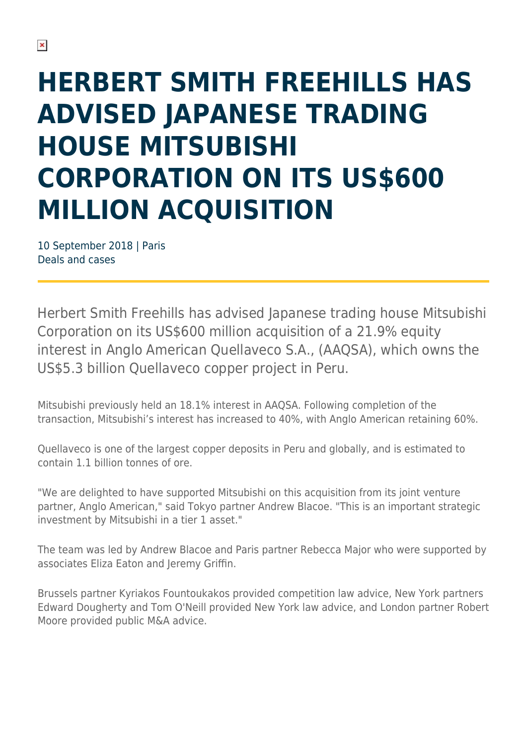## **HERBERT SMITH FREEHILLS HAS ADVISED JAPANESE TRADING HOUSE MITSUBISHI CORPORATION ON ITS US\$600 MILLION ACQUISITION**

10 September 2018 | Paris Deals and cases

Herbert Smith Freehills has advised Japanese trading house Mitsubishi Corporation on its US\$600 million acquisition of a 21.9% equity interest in Anglo American Quellaveco S.A., (AAQSA), which owns the US\$5.3 billion Quellaveco copper project in Peru.

Mitsubishi previously held an 18.1% interest in AAQSA. Following completion of the transaction, Mitsubishi's interest has increased to 40%, with Anglo American retaining 60%.

Quellaveco is one of the largest copper deposits in Peru and globally, and is estimated to contain 1.1 billion tonnes of ore.

"We are delighted to have supported Mitsubishi on this acquisition from its joint venture partner, Anglo American," said Tokyo partner Andrew Blacoe. "This is an important strategic investment by Mitsubishi in a tier 1 asset."

The team was led by Andrew Blacoe and Paris partner Rebecca Major who were supported by associates Eliza Eaton and Jeremy Griffin.

Brussels partner Kyriakos Fountoukakos provided competition law advice, New York partners Edward Dougherty and Tom O'Neill provided New York law advice, and London partner Robert Moore provided public M&A advice.